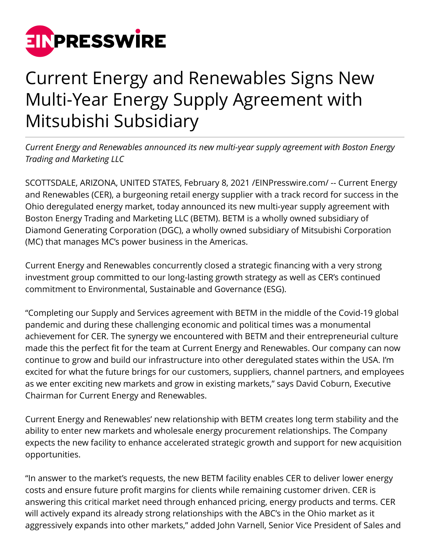

# Current Energy and Renewables Signs New Multi-Year Energy Supply Agreement with Mitsubishi Subsidiary

*Current Energy and Renewables announced its new multi-year supply agreement with Boston Energy Trading and Marketing LLC*

SCOTTSDALE, ARIZONA, UNITED STATES, February 8, 2021 [/EINPresswire.com/](http://www.einpresswire.com) -- Current Energy and Renewables (CER), a burgeoning retail energy supplier with a track record for success in the Ohio deregulated energy market, today announced its new multi-year supply agreement with Boston Energy Trading and Marketing LLC (BETM). BETM is a wholly owned subsidiary of Diamond Generating Corporation (DGC), a wholly owned subsidiary of Mitsubishi Corporation (MC) that manages MC's power business in the Americas.

Current Energy and Renewables concurrently closed a strategic financing with a very strong investment group committed to our long-lasting growth strategy as well as CER's continued commitment to Environmental, Sustainable and Governance (ESG).

"Completing our Supply and Services agreement with BETM in the middle of the Covid-19 global pandemic and during these challenging economic and political times was a monumental achievement for CER. The synergy we encountered with BETM and their entrepreneurial culture made this the perfect fit for the team at Current Energy and Renewables. Our company can now continue to grow and build our infrastructure into other deregulated states within the USA. I'm excited for what the future brings for our customers, suppliers, channel partners, and employees as we enter exciting new markets and grow in existing markets," says David Coburn, Executive Chairman for Current Energy and Renewables.

Current Energy and Renewables' new relationship with BETM creates long term stability and the ability to enter new markets and wholesale energy procurement relationships. The Company expects the new facility to enhance accelerated strategic growth and support for new acquisition opportunities.

"In answer to the market's requests, the new BETM facility enables CER to deliver lower energy costs and ensure future profit margins for clients while remaining customer driven. CER is answering this critical market need through enhanced pricing, energy products and terms. CER will actively expand its already strong relationships with the ABC's in the Ohio market as it aggressively expands into other markets," added John Varnell, Senior Vice President of Sales and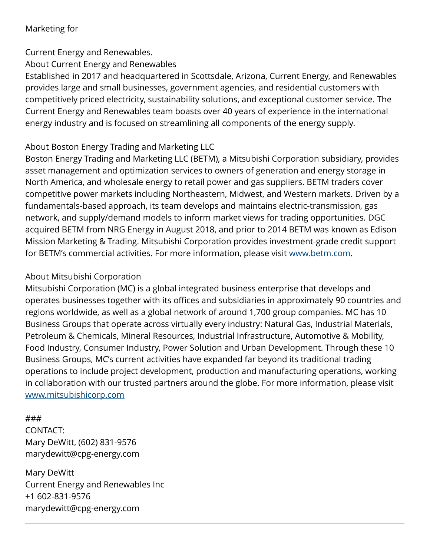### Marketing for

## Current Energy and Renewables.

About Current Energy and Renewables

Established in 2017 and headquartered in Scottsdale, Arizona, Current Energy, and Renewables provides large and small businesses, government agencies, and residential customers with competitively priced electricity, sustainability solutions, and exceptional customer service. The Current Energy and Renewables team boasts over 40 years of experience in the international energy industry and is focused on streamlining all components of the energy supply.

# About Boston Energy Trading and Marketing LLC

Boston Energy Trading and Marketing LLC (BETM), a Mitsubishi Corporation subsidiary, provides asset management and optimization services to owners of generation and energy storage in North America, and wholesale energy to retail power and gas suppliers. BETM traders cover competitive power markets including Northeastern, Midwest, and Western markets. Driven by a fundamentals-based approach, its team develops and maintains electric-transmission, gas network, and supply/demand models to inform market views for trading opportunities. DGC acquired BETM from NRG Energy in August 2018, and prior to 2014 BETM was known as Edison Mission Marketing & Trading. Mitsubishi Corporation provides investment-grade credit support for BETM's commercial activities. For more information, please visit [www.betm.com](http://www.betm.com).

### About Mitsubishi Corporation

Mitsubishi Corporation (MC) is a global integrated business enterprise that develops and operates businesses together with its offices and subsidiaries in approximately 90 countries and regions worldwide, as well as a global network of around 1,700 group companies. MC has 10 Business Groups that operate across virtually every industry: Natural Gas, Industrial Materials, Petroleum & Chemicals, Mineral Resources, Industrial Infrastructure, Automotive & Mobility, Food Industry, Consumer Industry, Power Solution and Urban Development. Through these 10 Business Groups, MC's current activities have expanded far beyond its traditional trading operations to include project development, production and manufacturing operations, working in collaboration with our trusted partners around the globe. For more information, please visit [www.mitsubishicorp.com](http://www.mitsubishicorp.com)

#### ###

CONTACT: Mary DeWitt, (602) 831-9576 marydewitt@cpg-energy.com

Mary DeWitt Current Energy and Renewables Inc +1 602-831-9576 marydewitt@cpg-energy.com